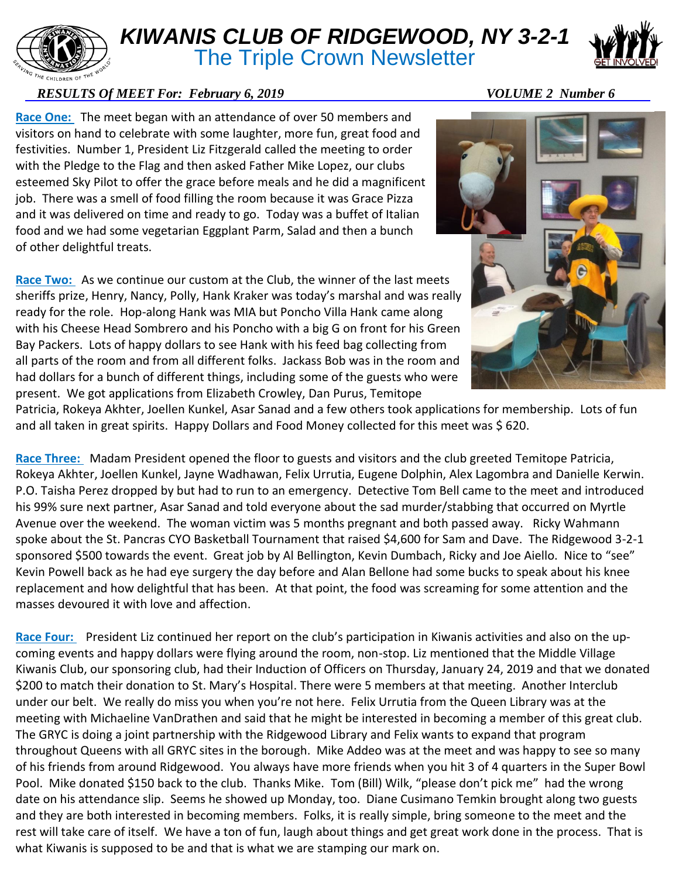

## *KIWANIS CLUB OF RIDGEWOOD, NY 3-2-1* **The Triple Crown Newsletter**



## *RESULTS Of MEET For: February 6, 2019* VOLUME 2 Number 6

**Race One:** The meet began with an attendance of over 50 members and visitors on hand to celebrate with some laughter, more fun, great food and festivities. Number 1, President Liz Fitzgerald called the meeting to order with the Pledge to the Flag and then asked Father Mike Lopez, our clubs esteemed Sky Pilot to offer the grace before meals and he did a magnificent job. There was a smell of food filling the room because it was Grace Pizza and it was delivered on time and ready to go. Today was a buffet of Italian food and we had some vegetarian Eggplant Parm, Salad and then a bunch of other delightful treats.

Race Two: As we continue our custom at the Club, the winner of the last meets sheriffs prize, Henry, Nancy, Polly, Hank Kraker was today's marshal and was really ready for the role. Hop-along Hank was MIA but Poncho Villa Hank came along with his Cheese Head Sombrero and his Poncho with a big G on front for his Green Bay Packers. Lots of happy dollars to see Hank with his feed bag collecting from all parts of the room and from all different folks. Jackass Bob was in the room and had dollars for a bunch of different things, including some of the guests who were present. We got applications from Elizabeth Crowley, Dan Purus, Temitope



Patricia, Rokeya Akhter, Joellen Kunkel, Asar Sanad and a few others took applications for membership. Lots of fun and all taken in great spirits. Happy Dollars and Food Money collected for this meet was \$ 620.

**Race Three:** Madam President opened the floor to guests and visitors and the club greeted Temitope Patricia, Rokeya Akhter, Joellen Kunkel, Jayne Wadhawan, Felix Urrutia, Eugene Dolphin, Alex Lagombra and Danielle Kerwin. P.O. Taisha Perez dropped by but had to run to an emergency. Detective Tom Bell came to the meet and introduced his 99% sure next partner, Asar Sanad and told everyone about the sad murder/stabbing that occurred on Myrtle Avenue over the weekend. The woman victim was 5 months pregnant and both passed away. Ricky Wahmann spoke about the St. Pancras CYO Basketball Tournament that raised \$4,600 for Sam and Dave. The Ridgewood 3-2-1 sponsored \$500 towards the event. Great job by Al Bellington, Kevin Dumbach, Ricky and Joe Aiello. Nice to "see" Kevin Powell back as he had eye surgery the day before and Alan Bellone had some bucks to speak about his knee replacement and how delightful that has been. At that point, the food was screaming for some attention and the masses devoured it with love and affection.

**Race Four:** President Liz continued her report on the club's participation in Kiwanis activities and also on the upcoming events and happy dollars were flying around the room, non-stop. Liz mentioned that the Middle Village Kiwanis Club, our sponsoring club, had their Induction of Officers on Thursday, January 24, 2019 and that we donated \$200 to match their donation to St. Mary's Hospital. There were 5 members at that meeting. Another Interclub under our belt. We really do miss you when you're not here. Felix Urrutia from the Queen Library was at the meeting with Michaeline VanDrathen and said that he might be interested in becoming a member of this great club. The GRYC is doing a joint partnership with the Ridgewood Library and Felix wants to expand that program throughout Queens with all GRYC sites in the borough. Mike Addeo was at the meet and was happy to see so many of his friends from around Ridgewood. You always have more friends when you hit 3 of 4 quarters in the Super Bowl Pool. Mike donated \$150 back to the club. Thanks Mike. Tom (Bill) Wilk, "please don't pick me" had the wrong date on his attendance slip. Seems he showed up Monday, too. Diane Cusimano Temkin brought along two guests and they are both interested in becoming members. Folks, it is really simple, bring someone to the meet and the rest will take care of itself. We have a ton of fun, laugh about things and get great work done in the process. That is what Kiwanis is supposed to be and that is what we are stamping our mark on.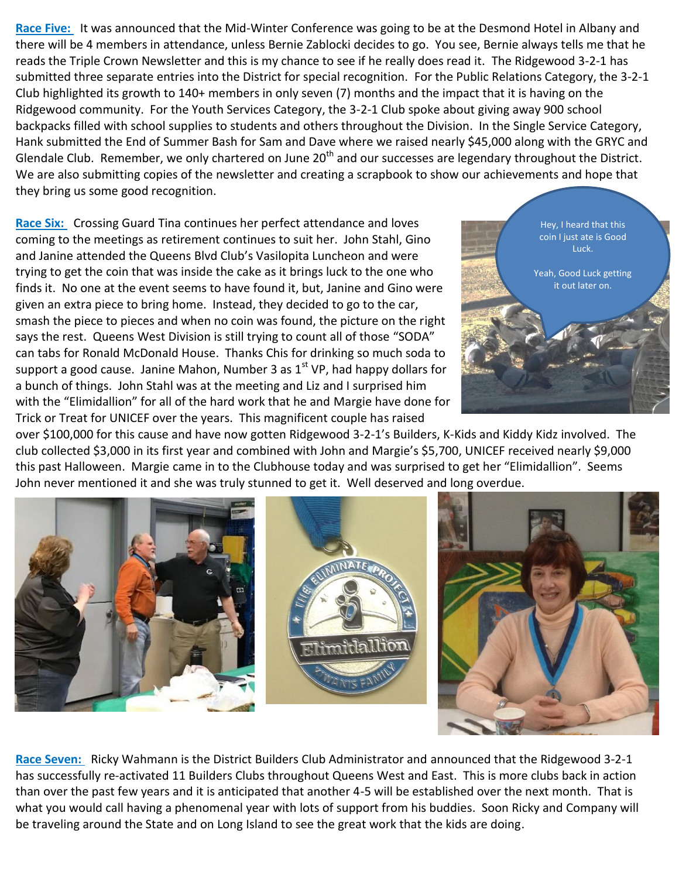**Race Five:** It was announced that the Mid-Winter Conference was going to be at the Desmond Hotel in Albany and there will be 4 members in attendance, unless Bernie Zablocki decides to go. You see, Bernie always tells me that he reads the Triple Crown Newsletter and this is my chance to see if he really does read it. The Ridgewood 3-2-1 has submitted three separate entries into the District for special recognition. For the Public Relations Category, the 3-2-1 Club highlighted its growth to 140+ members in only seven (7) months and the impact that it is having on the Ridgewood community. For the Youth Services Category, the 3-2-1 Club spoke about giving away 900 school backpacks filled with school supplies to students and others throughout the Division. In the Single Service Category, Hank submitted the End of Summer Bash for Sam and Dave where we raised nearly \$45,000 along with the GRYC and Glendale Club. Remember, we only chartered on June  $20<sup>th</sup>$  and our successes are legendary throughout the District. We are also submitting copies of the newsletter and creating a scrapbook to show our achievements and hope that they bring us some good recognition.

**Race Six:** Crossing Guard Tina continues her perfect attendance and loves coming to the meetings as retirement continues to suit her. John Stahl, Gino and Janine attended the Queens Blvd Club's Vasilopita Luncheon and were trying to get the coin that was inside the cake as it brings luck to the one who finds it. No one at the event seems to have found it, but, Janine and Gino were given an extra piece to bring home. Instead, they decided to go to the car, smash the piece to pieces and when no coin was found, the picture on the right says the rest. Queens West Division is still trying to count all of those "SODA" can tabs for Ronald McDonald House. Thanks Chis for drinking so much soda to support a good cause. Janine Mahon, Number 3 as  $1<sup>st</sup>$  VP, had happy dollars for a bunch of things. John Stahl was at the meeting and Liz and I surprised him with the "Elimidallion" for all of the hard work that he and Margie have done for Trick or Treat for UNICEF over the years. This magnificent couple has raised



over \$100,000 for this cause and have now gotten Ridgewood 3-2-1's Builders, K-Kids and Kiddy Kidz involved. The club collected \$3,000 in its first year and combined with John and Margie's \$5,700, UNICEF received nearly \$9,000 this past Halloween. Margie came in to the Clubhouse today and was surprised to get her "Elimidallion". Seems John never mentioned it and she was truly stunned to get it. Well deserved and long overdue.



**Race Seven:** Ricky Wahmann is the District Builders Club Administrator and announced that the Ridgewood 3-2-1 has successfully re-activated 11 Builders Clubs throughout Queens West and East. This is more clubs back in action than over the past few years and it is anticipated that another 4-5 will be established over the next month. That is what you would call having a phenomenal year with lots of support from his buddies. Soon Ricky and Company will be traveling around the State and on Long Island to see the great work that the kids are doing.